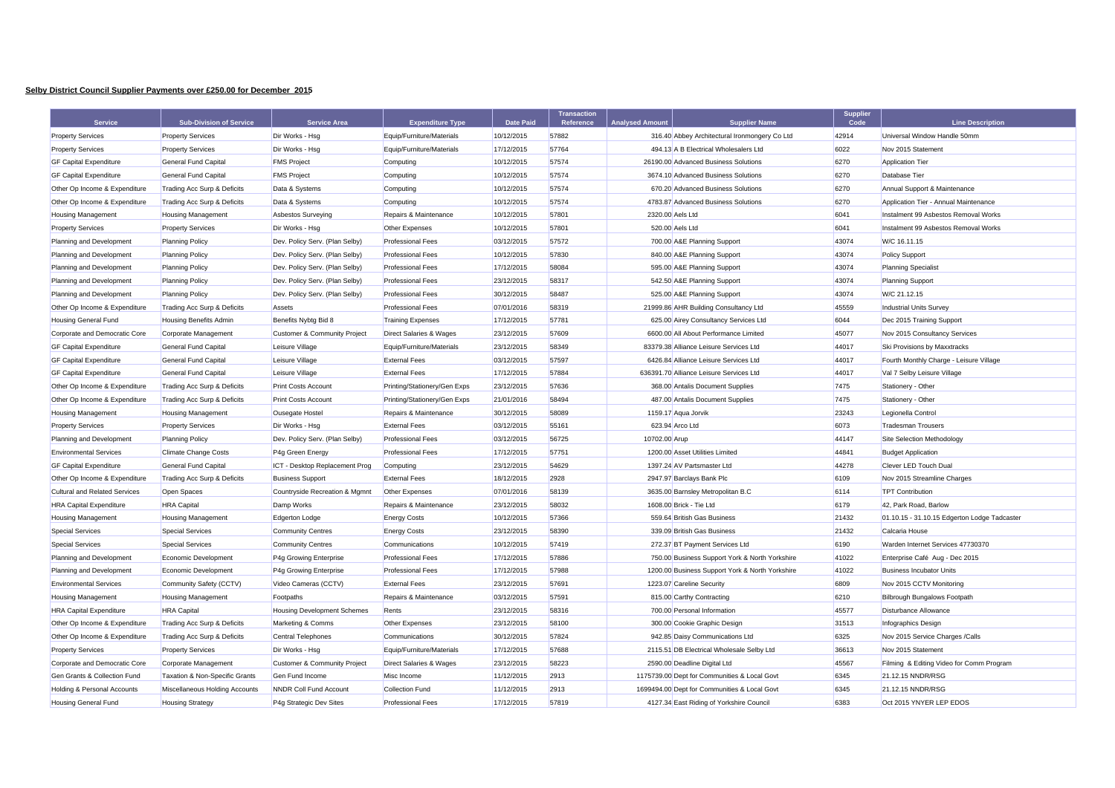## **Selby District Council Supplier Payments over £250.00 for December 2015**

| <b>Service</b>                         | <b>Sub-Division of Service</b> | <b>Service Area</b>                | <b>Expenditure Type</b>            | <b>Date Paid</b> | <b>Transaction</b><br>Reference | <b>Analysed Amount</b> | <b>Supplier Name</b>                            | <b>Supplier</b><br>Code | <b>Line Description</b>                      |
|----------------------------------------|--------------------------------|------------------------------------|------------------------------------|------------------|---------------------------------|------------------------|-------------------------------------------------|-------------------------|----------------------------------------------|
| <b>Property Services</b>               | <b>Property Services</b>       | Dir Works - Hsg                    | Equip/Furniture/Materials          | 10/12/2015       | 57882                           |                        | 316.40 Abbey Architectural Ironmongery Co Ltd   | 42914                   | Universal Window Handle 50mm                 |
| <b>Property Services</b>               | <b>Property Services</b>       | Dir Works - Hsg                    | Equip/Furniture/Materials          | 17/12/2015       | 57764                           |                        | 494.13 A B Electrical Wholesalers Ltd           | 6022                    | Nov 2015 Statement                           |
| <b>GF Capital Expenditure</b>          | <b>General Fund Capital</b>    | <b>FMS Project</b>                 | Computing                          | 10/12/2015       | 57574                           |                        | 26190.00 Advanced Business Solutions            | 6270                    | <b>Application Tier</b>                      |
| <b>GF Capital Expenditure</b>          | <b>General Fund Capital</b>    | <b>FMS Project</b>                 | Computing                          | 10/12/2015       | 57574                           |                        | 3674.10 Advanced Business Solutions             | 6270                    | Database Tier                                |
| Other Op Income & Expenditure          | Trading Acc Surp & Deficits    | Data & Systems                     | Computing                          | 10/12/2015       | 57574                           |                        | 670.20 Advanced Business Solutions              | 6270                    | Annual Support & Maintenance                 |
| Other Op Income & Expenditure          | Trading Acc Surp & Deficits    | Data & Systems                     | Computing                          | 10/12/2015       | 57574                           |                        | 4783.87 Advanced Business Solutions             | 6270                    | Application Tier - Annual Maintenance        |
| <b>Housing Management</b>              | <b>Housing Management</b>      | <b>Asbestos Surveying</b>          | Repairs & Maintenance              | 10/12/2015       | 57801                           | 2320.00 Aels Ltd       |                                                 | 6041                    | Instalment 99 Asbestos Removal Works         |
| <b>Property Services</b>               | <b>Property Services</b>       | Dir Works - Hsg                    | <b>Other Expenses</b>              | 10/12/2015       | 57801                           |                        | 520.00 Aels Ltd                                 | 6041                    | Instalment 99 Asbestos Removal Works         |
| Planning and Development               | <b>Planning Policy</b>         | Dev. Policy Serv. (Plan Selby)     | <b>Professional Fees</b>           | 03/12/2015       | 57572                           |                        | 700.00 A&E Planning Support                     | 43074                   | W/C 16.11.15                                 |
| Planning and Development               | <b>Planning Policy</b>         | Dev. Policy Serv. (Plan Selby)     | <b>Professional Fees</b>           | 10/12/2015       | 57830                           |                        | 840.00 A&E Planning Support                     | 43074                   | <b>Policy Support</b>                        |
| Planning and Development               | <b>Planning Policy</b>         | Dev. Policy Serv. (Plan Selby)     | <b>Professional Fees</b>           | 17/12/2015       | 58084                           |                        | 595.00 A&E Planning Support                     | 43074                   | <b>Planning Specialist</b>                   |
| Planning and Development               | <b>Planning Policy</b>         | Dev. Policy Serv. (Plan Selby)     | <b>Professional Fees</b>           | 23/12/2015       | 58317                           |                        | 542.50 A&E Planning Support                     | 43074                   | <b>Planning Support</b>                      |
| Planning and Development               | <b>Planning Policy</b>         | Dev. Policy Serv. (Plan Selby)     | <b>Professional Fees</b>           | 30/12/2015       | 58487                           |                        | 525.00 A&E Planning Support                     | 43074                   | W/C 21.12.15                                 |
| Other Op Income & Expenditure          | Trading Acc Surp & Deficits    | Assets                             | <b>Professional Fees</b>           | 07/01/2016       | 58319                           |                        | 21999.86 AHR Building Consultancy Ltd           | 45559                   | <b>Industrial Units Survey</b>               |
| <b>Housing General Fund</b>            | <b>Housing Benefits Admin</b>  | Benefits Nybtg Bid 8               | <b>Training Expenses</b>           | 17/12/2015       | 57781                           |                        | 625.00 Airey Consultancy Services Ltd           | 6044                    | Dec 2015 Training Support                    |
| Corporate and Democratic Core          | Corporate Management           | Customer & Community Project       | Direct Salaries & Wages            | 23/12/2015       | 57609                           |                        | 6600.00 All About Performance Limited           | 45077                   | Nov 2015 Consultancy Services                |
| <b>GF Capital Expenditure</b>          | <b>General Fund Capital</b>    | Leisure Village                    | Equip/Furniture/Materials          | 23/12/2015       | 58349                           |                        | 83379.38 Alliance Leisure Services Ltd          | 44017                   | Ski Provisions by Maxxtracks                 |
| <b>GF Capital Expenditure</b>          | <b>General Fund Capital</b>    | Leisure Village                    | <b>External Fees</b>               | 03/12/2015       | 57597                           |                        | 6426.84 Alliance Leisure Services Ltd           | 44017                   | Fourth Monthly Charge - Leisure Village      |
| <b>GF Capital Expenditure</b>          | General Fund Capital           | Leisure Village                    | <b>External Fees</b>               | 17/12/2015       | 57884                           |                        | 636391.70 Alliance Leisure Services Ltd         | 44017                   | Val 7 Selby Leisure Village                  |
| Other Op Income & Expenditure          | Trading Acc Surp & Deficits    | <b>Print Costs Account</b>         | Printing/Stationery/Gen Exps       | 23/12/2015       | 57636                           |                        | 368.00 Antalis Document Supplies                | 7475                    | Stationery - Other                           |
| Other Op Income & Expenditure          | Trading Acc Surp & Deficits    | <b>Print Costs Account</b>         | Printing/Stationery/Gen Exps       | 21/01/2016       | 58494                           |                        | 487.00 Antalis Document Supplies                | 7475                    | Stationery - Other                           |
| <b>Housing Management</b>              | <b>Housing Management</b>      | Ousegate Hostel                    | Repairs & Maintenance              | 30/12/2015       | 58089                           |                        | 1159.17 Aqua Jorvik                             | 23243                   | Legionella Control                           |
| <b>Property Services</b>               | <b>Property Services</b>       | Dir Works - Hsg                    | <b>External Fees</b>               | 03/12/2015       | 55161                           |                        | 623.94 Arco Ltd                                 | 6073                    | <b>Tradesman Trousers</b>                    |
| Planning and Development               | <b>Planning Policy</b>         | Dev. Policy Serv. (Plan Selby)     | <b>Professional Fees</b>           | 03/12/2015       | 56725                           | 10702.00 Arup          |                                                 | 44147                   | Site Selection Methodology                   |
| <b>Environmental Services</b>          | <b>Climate Change Costs</b>    | P4g Green Energy                   | <b>Professional Fees</b>           | 17/12/2015       | 57751                           |                        | 1200.00 Asset Utilities Limited                 | 44841                   | <b>Budget Application</b>                    |
| <b>GF Capital Expenditure</b>          | General Fund Capital           | ICT - Desktop Replacement Prog     | Computing                          | 23/12/2015       | 54629                           |                        | 1397.24 AV Partsmaster Ltd                      | 44278                   | Clever LED Touch Dual                        |
| Other Op Income & Expenditure          | Trading Acc Surp & Deficits    | <b>Business Support</b>            | <b>External Fees</b>               | 18/12/2015       | 2928                            |                        | 2947.97 Barclays Bank Plc                       | 6109                    | Nov 2015 Streamline Charges                  |
| <b>Cultural and Related Services</b>   | Open Spaces                    | Countryside Recreation & Mgmnt     | Other Expenses                     | 07/01/2016       | 58139                           |                        | 3635.00 Barnsley Metropolitan B.C               | 6114                    | <b>TPT Contribution</b>                      |
| <b>HRA Capital Expenditure</b>         | <b>HRA</b> Capital             | Damp Works                         | Repairs & Maintenance              | 23/12/2015       | 58032                           |                        | 1608.00 Brick - Tie Ltd                         | 6179                    | 42, Park Road, Barlow                        |
| <b>Housing Management</b>              | <b>Housing Management</b>      | Edgerton Lodge                     | <b>Energy Costs</b>                | 10/12/2015       | 57366                           |                        | 559.64 British Gas Business                     | 21432                   | 01.10.15 - 31.10.15 Edgerton Lodge Tadcaster |
| <b>Special Services</b>                | <b>Special Services</b>        | <b>Community Centres</b>           | <b>Energy Costs</b>                | 23/12/2015       | 58390                           |                        | 339.09 British Gas Business                     | 21432                   | Calcaria House                               |
| <b>Special Services</b>                | <b>Special Services</b>        | <b>Community Centres</b>           | Communications                     | 10/12/2015       | 57419                           |                        | 272.37 BT Payment Services Ltd                  | 6190                    | Warden Internet Services 47730370            |
| Planning and Development               | Economic Development           | P4g Growing Enterprise             | <b>Professional Fees</b>           | 17/12/2015       | 57886                           |                        | 750.00 Business Support York & North Yorkshire  | 41022                   | Enterprise Café Aug - Dec 2015               |
| Planning and Development               | Economic Development           | P4g Growing Enterprise             | <b>Professional Fees</b>           | 17/12/2015       | 57988                           |                        | 1200.00 Business Support York & North Yorkshire | 41022                   | <b>Business Incubator Units</b>              |
| <b>Environmental Services</b>          | Community Safety (CCTV)        | Video Cameras (CCTV)               | <b>External Fees</b>               | 23/12/2015       | 57691                           |                        | 1223.07 Careline Security                       | 6809                    | Nov 2015 CCTV Monitoring                     |
| <b>Housing Management</b>              | <b>Housing Management</b>      | Footpaths                          | Repairs & Maintenance              | 03/12/2015       | 57591                           |                        | 815.00 Carthy Contracting                       | 6210                    | Bilbrough Bungalows Footpath                 |
| <b>HRA Capital Expenditure</b>         | <b>HRA</b> Capital             | <b>Housing Development Schemes</b> | Rents                              | 23/12/2015       | 58316                           |                        | 700.00 Personal Information                     | 45577                   | Disturbance Allowance                        |
| Other Op Income & Expenditure          | Trading Acc Surp & Deficits    | Marketing & Comms                  | Other Expenses                     | 23/12/2015       | 58100                           |                        | 300.00 Cookie Graphic Design                    | 31513                   | Infographics Design                          |
| Other Op Income & Expenditure          | Trading Acc Surp & Deficits    | <b>Central Telephones</b>          | Communications                     | 30/12/2015       | 57824                           |                        | 942.85 Daisy Communications Ltd                 | 6325                    | Nov 2015 Service Charges /Calls              |
| <b>Property Services</b>               | <b>Property Services</b>       | Dir Works - Hsg                    | Equip/Furniture/Materials          | 17/12/2015       | 57688                           |                        | 2115.51 DB Electrical Wholesale Selby Ltd       | 36613                   | Nov 2015 Statement                           |
| Corporate and Democratic Core          | Corporate Management           | Customer & Community Project       | <b>Direct Salaries &amp; Wages</b> | 23/12/2015       | 58223                           |                        | 2590.00 Deadline Digital Ltd                    | 45567                   | Filming & Editing Video for Comm Program     |
| Gen Grants & Collection Fund           | Taxation & Non-Specific Grants | Gen Fund Income                    | Misc Income                        | 11/12/2015       | 2913                            |                        | 1175739.00 Dept for Communities & Local Govt    | 6345                    | 21.12.15 NNDR/RSG                            |
| <b>Holding &amp; Personal Accounts</b> | Miscellaneous Holding Accounts | <b>NNDR Coll Fund Account</b>      | <b>Collection Fund</b>             | 11/12/2015       | 2913                            |                        | 1699494.00 Dept for Communities & Local Govt    | 6345                    | 21.12.15 NNDR/RSG                            |
| <b>Housing General Fund</b>            | <b>Housing Strategy</b>        | P4q Strategic Dev Sites            | <b>Professional Fees</b>           | 17/12/2015       | 57819                           |                        | 4127.34 East Riding of Yorkshire Council        | 6383                    | Oct 2015 YNYER LEP EDOS                      |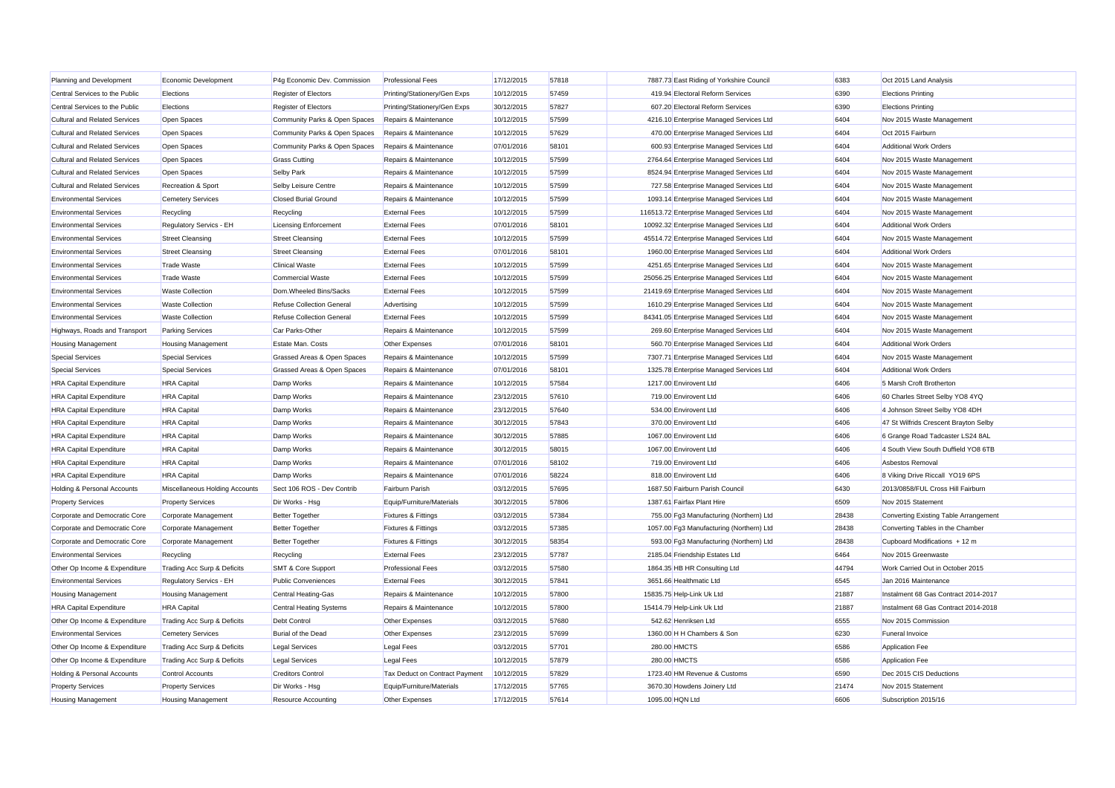| Planning and Development             | Economic Development           | P4q Economic Dev. Commission  | <b>Professional Fees</b>       | 17/12/2015 | 57818 | 7887.73 East Riding of Yorkshire Council  | 6383  | Oct 2015 Land Analysis                |
|--------------------------------------|--------------------------------|-------------------------------|--------------------------------|------------|-------|-------------------------------------------|-------|---------------------------------------|
| Central Services to the Public       | Elections                      | Register of Electors          | Printing/Stationery/Gen Exps   | 10/12/2015 | 57459 | 419.94 Electoral Reform Services          | 6390  | <b>Elections Printing</b>             |
| Central Services to the Public       | Elections                      | <b>Register of Electors</b>   | Printing/Stationery/Gen Exps   | 30/12/2015 | 57827 | 607.20 Electoral Reform Services          | 6390  | <b>Elections Printing</b>             |
| <b>Cultural and Related Services</b> | Open Spaces                    | Community Parks & Open Spaces | Repairs & Maintenance          | 10/12/2015 | 57599 | 4216.10 Enterprise Managed Services Ltd   | 6404  | Nov 2015 Waste Management             |
| <b>Cultural and Related Services</b> | Open Spaces                    | Community Parks & Open Spaces | Repairs & Maintenance          | 10/12/2015 | 57629 | 470.00 Enterprise Managed Services Ltd    | 6404  | Oct 2015 Fairburn                     |
| <b>Cultural and Related Services</b> | Open Spaces                    | Community Parks & Open Spaces | Repairs & Maintenance          | 07/01/2016 | 58101 | 600.93 Enterprise Managed Services Ltd    | 6404  | <b>Additional Work Orders</b>         |
| <b>Cultural and Related Services</b> | Open Spaces                    | <b>Grass Cutting</b>          | Repairs & Maintenance          | 10/12/2015 | 57599 | 2764.64 Enterprise Managed Services Ltd   | 6404  | Nov 2015 Waste Management             |
| <b>Cultural and Related Services</b> | Open Spaces                    | Selby Park                    | Repairs & Maintenance          | 10/12/2015 | 57599 | 8524.94 Enterprise Managed Services Ltd   | 6404  | Nov 2015 Waste Management             |
| <b>Cultural and Related Services</b> | Recreation & Sport             | Selby Leisure Centre          | Repairs & Maintenance          | 10/12/2015 | 57599 | 727.58 Enterprise Managed Services Ltd    | 6404  | Nov 2015 Waste Management             |
| <b>Environmental Services</b>        | <b>Cemetery Services</b>       | <b>Closed Burial Ground</b>   | Repairs & Maintenance          | 10/12/2015 | 57599 | 1093.14 Enterprise Managed Services Ltd   | 6404  | Nov 2015 Waste Management             |
| <b>Environmental Services</b>        | Recycling                      | Recycling                     | <b>External Fees</b>           | 10/12/2015 | 57599 | 116513.72 Enterprise Managed Services Ltd | 6404  | Nov 2015 Waste Management             |
| <b>Environmental Services</b>        | Regulatory Servics - EH        | <b>Licensing Enforcement</b>  | <b>External Fees</b>           | 07/01/2016 | 58101 | 10092.32 Enterprise Managed Services Ltd  | 6404  | <b>Additional Work Orders</b>         |
| <b>Environmental Services</b>        | <b>Street Cleansing</b>        | <b>Street Cleansing</b>       | <b>External Fees</b>           | 10/12/2015 | 57599 | 45514.72 Enterprise Managed Services Ltd  | 6404  | Nov 2015 Waste Management             |
| <b>Environmental Services</b>        | <b>Street Cleansing</b>        | <b>Street Cleansing</b>       | <b>External Fees</b>           | 07/01/2016 | 58101 | 1960.00 Enterprise Managed Services Ltd   | 6404  | <b>Additional Work Orders</b>         |
| <b>Environmental Services</b>        | <b>Trade Waste</b>             | <b>Clinical Waste</b>         | <b>External Fees</b>           | 10/12/2015 | 57599 | 4251.65 Enterprise Managed Services Ltd   | 6404  | Nov 2015 Waste Management             |
| <b>Environmental Services</b>        | <b>Trade Waste</b>             | <b>Commercial Waste</b>       | <b>External Fees</b>           | 10/12/2015 | 57599 | 25056.25 Enterprise Managed Services Ltd  | 6404  | Nov 2015 Waste Management             |
| <b>Environmental Services</b>        | <b>Waste Collection</b>        | Dom.Wheeled Bins/Sacks        | <b>External Fees</b>           | 10/12/2015 | 57599 | 21419.69 Enterprise Managed Services Ltd  | 6404  | Nov 2015 Waste Management             |
| <b>Environmental Services</b>        | <b>Waste Collection</b>        | Refuse Collection General     | Advertising                    | 10/12/2015 | 57599 | 1610.29 Enterprise Managed Services Ltd   | 6404  | Nov 2015 Waste Management             |
| <b>Environmental Services</b>        | <b>Waste Collection</b>        | Refuse Collection General     | <b>External Fees</b>           | 10/12/2015 | 57599 | 84341.05 Enterprise Managed Services Ltd  | 6404  | Nov 2015 Waste Management             |
| Highways, Roads and Transport        | <b>Parking Services</b>        | Car Parks-Other               | Repairs & Maintenance          | 10/12/2015 | 57599 | 269.60 Enterprise Managed Services Ltd    | 6404  | Nov 2015 Waste Management             |
| <b>Housing Management</b>            | <b>Housing Management</b>      | <b>Estate Man, Costs</b>      | Other Expenses                 | 07/01/2016 | 58101 | 560.70 Enterprise Managed Services Ltd    | 6404  | <b>Additional Work Orders</b>         |
| <b>Special Services</b>              | <b>Special Services</b>        | Grassed Areas & Open Spaces   | Repairs & Maintenance          | 10/12/2015 | 57599 | 7307.71 Enterprise Managed Services Ltd   | 6404  | Nov 2015 Waste Management             |
| <b>Special Services</b>              | <b>Special Services</b>        | Grassed Areas & Open Spaces   | Repairs & Maintenance          | 07/01/2016 | 58101 | 1325.78 Enterprise Managed Services Ltd   | 6404  | <b>Additional Work Orders</b>         |
| <b>HRA Capital Expenditure</b>       | <b>HRA</b> Capital             | Damp Works                    | Repairs & Maintenance          | 10/12/2015 | 57584 | 1217.00 Envirovent Ltd                    | 6406  | 5 Marsh Croft Brotherton              |
| <b>HRA Capital Expenditure</b>       | <b>HRA</b> Capital             | Damp Works                    | Repairs & Maintenance          | 23/12/2015 | 57610 | 719.00 Envirovent Ltd                     | 6406  | 60 Charles Street Selby YO8 4YQ       |
| <b>HRA Capital Expenditure</b>       | <b>HRA</b> Capital             | Damp Works                    | Repairs & Maintenance          | 23/12/2015 | 57640 | 534.00 Envirovent Ltd                     | 6406  | 4 Johnson Street Selby YO8 4DH        |
| <b>HRA Capital Expenditure</b>       | <b>HRA</b> Capital             | Damp Works                    | Repairs & Maintenance          | 30/12/2015 | 57843 | 370.00 Envirovent Ltd                     | 6406  | 47 St Wilfrids Crescent Brayton Selby |
| <b>HRA Capital Expenditure</b>       | <b>HRA</b> Capital             | Damp Works                    | Repairs & Maintenance          | 30/12/2015 | 57885 | 1067.00 Envirovent Ltd                    | 6406  | 6 Grange Road Tadcaster LS24 8AL      |
| <b>HRA Capital Expenditure</b>       | <b>HRA</b> Capital             | Damp Works                    | Repairs & Maintenance          | 30/12/2015 | 58015 | 1067.00 Envirovent Ltd                    | 6406  | 4 South View South Duffield YO8 6TB   |
| <b>HRA Capital Expenditure</b>       | <b>HRA Capital</b>             | Damp Works                    | Repairs & Maintenance          | 07/01/2016 | 58102 | 719.00 Envirovent Ltd                     | 6406  | Asbestos Removal                      |
| <b>HRA Capital Expenditure</b>       | <b>HRA</b> Capital             | Damp Works                    | Repairs & Maintenance          | 07/01/2016 | 58224 | 818.00 Envirovent Ltd                     | 6406  | 8 Viking Drive Riccall YO19 6PS       |
| Holding & Personal Accounts          | Miscellaneous Holding Accounts | Sect 106 ROS - Dev Contrib    | Fairburn Parish                | 03/12/2015 | 57695 | 1687.50 Fairburn Parish Council           | 6430  | 2013/0858/FUL Cross Hill Fairburn     |
| <b>Property Services</b>             | <b>Property Services</b>       | Dir Works - Hsg               | Equip/Furniture/Materials      | 30/12/2015 | 57806 | 1387.61 Fairfax Plant Hire                | 6509  | Nov 2015 Statement                    |
| Corporate and Democratic Core        | Corporate Management           | <b>Better Together</b>        | <b>Fixtures &amp; Fittings</b> | 03/12/2015 | 57384 | 755.00 Fg3 Manufacturing (Northern) Ltd   | 28438 | Converting Existing Table Arrangement |
| Corporate and Democratic Core        | Corporate Management           | <b>Better Together</b>        | <b>Fixtures &amp; Fittings</b> | 03/12/2015 | 57385 | 1057.00 Fg3 Manufacturing (Northern) Ltd  | 28438 | Converting Tables in the Chamber      |
| Corporate and Democratic Core        | Corporate Management           | <b>Better Together</b>        | <b>Fixtures &amp; Fittings</b> | 30/12/2015 | 58354 | 593.00 Fg3 Manufacturing (Northern) Ltd   | 28438 | Cupboard Modifications + 12 m         |
| <b>Environmental Services</b>        | Recycling                      | Recycling                     | <b>External Fees</b>           | 23/12/2015 | 57787 | 2185.04 Friendship Estates Ltd            | 6464  | Nov 2015 Greenwaste                   |
| Other Op Income & Expenditure        | Trading Acc Surp & Deficits    | <b>SMT &amp; Core Support</b> | <b>Professional Fees</b>       | 03/12/2015 | 57580 | 1864.35 HB HR Consulting Ltd              | 44794 | Work Carried Out in October 2015      |
| <b>Environmental Services</b>        | Regulatory Servics - EH        | <b>Public Conveniences</b>    | <b>External Fees</b>           | 30/12/2015 | 57841 | 3651.66 Healthmatic Ltd                   | 6545  | Jan 2016 Maintenance                  |
| <b>Housing Management</b>            | <b>Housing Management</b>      | Central Heating-Gas           | Repairs & Maintenance          | 10/12/2015 | 57800 | 15835.75 Help-Link Uk Ltd                 | 21887 | Instalment 68 Gas Contract 2014-2017  |
| <b>HRA Capital Expenditure</b>       | <b>HRA</b> Capital             | Central Heating Systems       | Repairs & Maintenance          | 10/12/2015 | 57800 | 15414.79 Help-Link Uk Ltd                 | 21887 | Instalment 68 Gas Contract 2014-2018  |
| Other Op Income & Expenditure        | Trading Acc Surp & Deficits    | Debt Control                  | Other Expenses                 | 03/12/2015 | 57680 | 542.62 Henriksen Ltd                      | 6555  | Nov 2015 Commission                   |
| <b>Environmental Services</b>        | <b>Cemetery Services</b>       | Burial of the Dead            | Other Expenses                 | 23/12/2015 | 57699 | 1360.00 H H Chambers & Son                | 6230  | <b>Funeral Invoice</b>                |
| Other Op Income & Expenditure        | Trading Acc Surp & Deficits    | <b>Legal Services</b>         | <b>Legal Fees</b>              | 03/12/2015 | 57701 | 280.00 HMCTS                              | 6586  | <b>Application Fee</b>                |
| Other Op Income & Expenditure        | Trading Acc Surp & Deficits    | Legal Services                | Legal Fees                     | 10/12/2015 | 57879 | 280.00 HMCTS                              | 6586  | Application Fee                       |
| Holding & Personal Accounts          | Control Accounts               | <b>Creditors Control</b>      | Tax Deduct on Contract Payment | 10/12/2015 | 57829 | 1723.40 HM Revenue & Customs              | 6590  | Dec 2015 CIS Deductions               |
| <b>Property Services</b>             | <b>Property Services</b>       | Dir Works - Hsg               | Equip/Furniture/Materials      | 17/12/2015 | 57765 | 3670.30 Howdens Joinery Ltd               | 21474 | Nov 2015 Statement                    |
| <b>Housing Management</b>            | <b>Housing Management</b>      | <b>Resource Accounting</b>    | Other Expenses                 | 17/12/2015 | 57614 | 1095.00 HQN Ltd                           | 6606  | Subscription 2015/16                  |
|                                      |                                |                               |                                |            |       |                                           |       |                                       |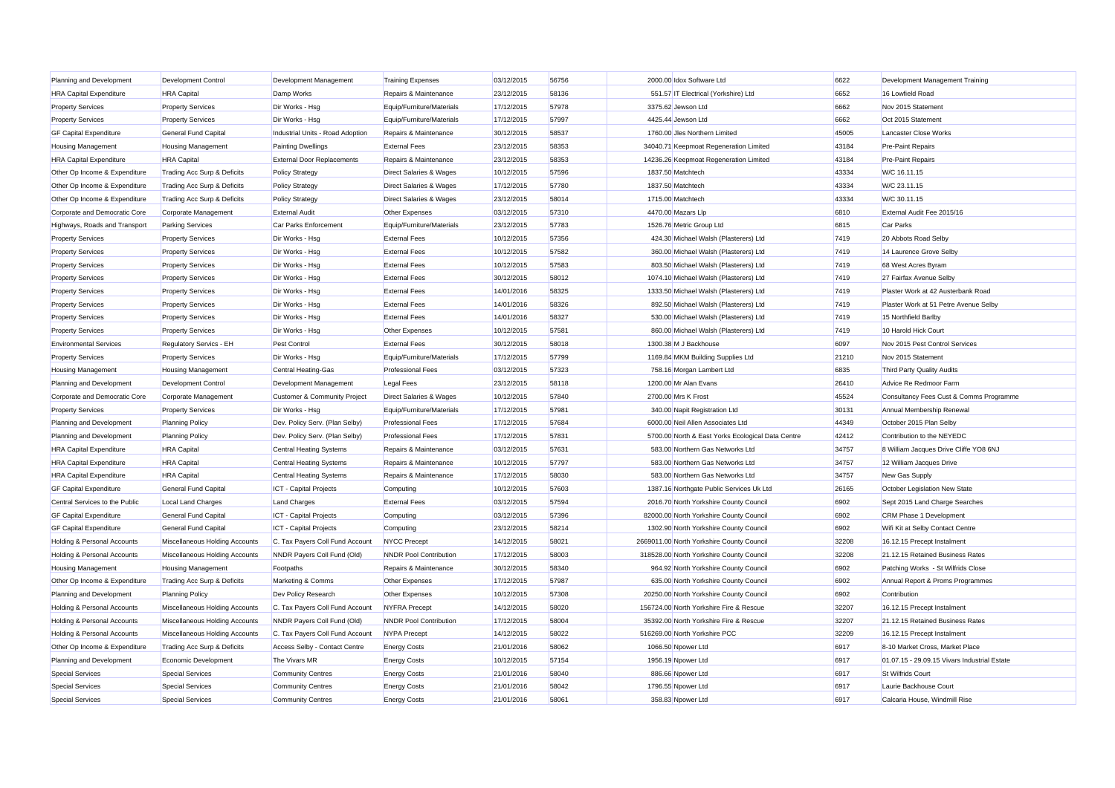| Planning and Development               | Development Control            | Development Management            | <b>Training Expenses</b>           | 03/12/2015 | 56756 | 2000.00 Idox Software Ltd                         | 6622  | Development Management Training              |
|----------------------------------------|--------------------------------|-----------------------------------|------------------------------------|------------|-------|---------------------------------------------------|-------|----------------------------------------------|
| <b>HRA Capital Expenditure</b>         | <b>HRA</b> Capital             | Damp Works                        | Repairs & Maintenance              | 23/12/2015 | 58136 | 551.57 IT Electrical (Yorkshire) Ltd              | 6652  | 16 Lowfield Road                             |
| <b>Property Services</b>               | <b>Property Services</b>       | Dir Works - Hsg                   | Equip/Furniture/Materials          | 17/12/2015 | 57978 | 3375.62 Jewson Ltd                                | 6662  | Nov 2015 Statement                           |
| <b>Property Services</b>               | <b>Property Services</b>       | Dir Works - Hsg                   | Equip/Furniture/Materials          | 17/12/2015 | 57997 | 4425.44 Jewson Ltd                                | 6662  | Oct 2015 Statement                           |
| <b>GF Capital Expenditure</b>          | General Fund Capital           | Industrial Units - Road Adoption  | Repairs & Maintenance              | 30/12/2015 | 58537 | 1760.00 Jles Northern Limited                     | 45005 | Lancaster Close Works                        |
| <b>Housing Management</b>              | <b>Housing Management</b>      | <b>Painting Dwellings</b>         | <b>External Fees</b>               | 23/12/2015 | 58353 | 34040.71 Keepmoat Regeneration Limited            | 43184 | <b>Pre-Paint Repairs</b>                     |
| <b>HRA Capital Expenditure</b>         | <b>HRA</b> Capital             | <b>External Door Replacements</b> | Repairs & Maintenance              | 23/12/2015 | 58353 | 14236.26 Keepmoat Regeneration Limited            | 43184 | <b>Pre-Paint Repairs</b>                     |
| Other Op Income & Expenditure          | Trading Acc Surp & Deficits    | <b>Policy Strategy</b>            | <b>Direct Salaries &amp; Wages</b> | 10/12/2015 | 57596 | 1837.50 Matchtech                                 | 43334 | W/C 16.11.15                                 |
| Other Op Income & Expenditure          | Trading Acc Surp & Deficits    | <b>Policy Strategy</b>            | Direct Salaries & Wages            | 17/12/2015 | 57780 | 1837.50 Matchtech                                 | 43334 | W/C 23.11.15                                 |
| Other Op Income & Expenditure          | Trading Acc Surp & Deficits    | <b>Policy Strategy</b>            | <b>Direct Salaries &amp; Wages</b> | 23/12/2015 | 58014 | 1715.00 Matchtech                                 | 43334 | W/C 30.11.15                                 |
| Corporate and Democratic Core          | Corporate Management           | <b>External Audit</b>             | Other Expenses                     | 03/12/2015 | 57310 | 4470.00 Mazars Llp                                | 6810  | External Audit Fee 2015/16                   |
| Highways, Roads and Transport          | <b>Parking Services</b>        | Car Parks Enforcement             | Equip/Furniture/Materials          | 23/12/2015 | 57783 | 1526.76 Metric Group Ltd                          | 6815  | Car Parks                                    |
| <b>Property Services</b>               | <b>Property Services</b>       | Dir Works - Hsg                   | <b>External Fees</b>               | 10/12/2015 | 57356 | 424.30 Michael Walsh (Plasterers) Ltd             | 7419  | 20 Abbots Road Selby                         |
| <b>Property Services</b>               | <b>Property Services</b>       | Dir Works - Hsg                   | <b>External Fees</b>               | 10/12/2015 | 57582 | 360.00 Michael Walsh (Plasterers) Ltd             | 7419  | 14 Laurence Grove Selby                      |
| <b>Property Services</b>               | <b>Property Services</b>       | Dir Works - Hsg                   | <b>External Fees</b>               | 10/12/2015 | 57583 | 803.50 Michael Walsh (Plasterers) Ltd             | 7419  | 68 West Acres Byram                          |
| <b>Property Services</b>               | <b>Property Services</b>       | Dir Works - Hsg                   | <b>External Fees</b>               | 30/12/2015 | 58012 | 1074.10 Michael Walsh (Plasterers) Ltd            | 7419  | 27 Fairfax Avenue Selby                      |
| <b>Property Services</b>               | <b>Property Services</b>       | Dir Works - Hsg                   | <b>External Fees</b>               | 14/01/2016 | 58325 | 1333.50 Michael Walsh (Plasterers) Ltd            | 7419  | Plaster Work at 42 Austerbank Road           |
| <b>Property Services</b>               | <b>Property Services</b>       | Dir Works - Hsg                   | <b>External Fees</b>               | 14/01/2016 | 58326 | 892.50 Michael Walsh (Plasterers) Ltd             | 7419  | Plaster Work at 51 Petre Avenue Selby        |
| <b>Property Services</b>               | <b>Property Services</b>       | Dir Works - Hsg                   | <b>External Fees</b>               | 14/01/2016 | 58327 | 530.00 Michael Walsh (Plasterers) Ltd             | 7419  | 15 Northfield Barlby                         |
| <b>Property Services</b>               | <b>Property Services</b>       | Dir Works - Hsg                   | Other Expenses                     | 10/12/2015 | 57581 | 860.00 Michael Walsh (Plasterers) Ltd             | 7419  | 10 Harold Hick Court                         |
| <b>Environmental Services</b>          | Regulatory Servics - EH        | Pest Control                      | <b>External Fees</b>               | 30/12/2015 | 58018 | 1300.38 M J Backhouse                             | 6097  | Nov 2015 Pest Control Services               |
| <b>Property Services</b>               | <b>Property Services</b>       | Dir Works - Hsg                   | Equip/Furniture/Materials          | 17/12/2015 | 57799 | 1169.84 MKM Building Supplies Ltd                 | 21210 | Nov 2015 Statement                           |
| <b>Housing Management</b>              | <b>Housing Management</b>      | Central Heating-Gas               | <b>Professional Fees</b>           | 03/12/2015 | 57323 | 758.16 Morgan Lambert Ltd                         | 6835  | Third Party Quality Audits                   |
| Planning and Development               | Development Control            | Development Management            | <b>Legal Fees</b>                  | 23/12/2015 | 58118 | 1200.00 Mr Alan Evans                             | 26410 | Advice Re Redmoor Farm                       |
| Corporate and Democratic Core          | Corporate Management           | Customer & Community Project      | Direct Salaries & Wages            | 10/12/2015 | 57840 |                                                   | 45524 |                                              |
|                                        |                                |                                   |                                    |            |       | 2700.00 Mrs K Frost                               |       | Consultancy Fees Cust & Comms Programme      |
| <b>Property Services</b>               | <b>Property Services</b>       | Dir Works - Hsg                   | Equip/Furniture/Materials          | 17/12/2015 | 57981 | 340.00 Napit Registration Ltd                     | 30131 | Annual Membership Renewa                     |
| Planning and Development               | <b>Planning Policy</b>         | Dev. Policy Serv. (Plan Selby)    | <b>Professional Fees</b>           | 17/12/2015 | 57684 | 6000.00 Neil Allen Associates Ltd                 | 44349 | October 2015 Plan Selby                      |
| Planning and Development               | <b>Planning Policy</b>         | Dev. Policy Serv. (Plan Selby)    | <b>Professional Fees</b>           | 17/12/2015 | 57831 | 5700.00 North & East Yorks Ecological Data Centre | 42412 | Contribution to the NEYEDC                   |
| <b>HRA Capital Expenditure</b>         | <b>HRA</b> Capital             | <b>Central Heating Systems</b>    | Repairs & Maintenance              | 03/12/2015 | 57631 | 583.00 Northern Gas Networks Ltd                  | 34757 | 8 William Jacques Drive Cliffe YO8 6NJ       |
| <b>HRA Capital Expenditure</b>         | <b>HRA</b> Capital             | <b>Central Heating Systems</b>    | Repairs & Maintenance              | 10/12/2015 | 57797 | 583.00 Northern Gas Networks Ltd                  | 34757 | 12 William Jacques Drive                     |
| <b>HRA Capital Expenditure</b>         | <b>HRA</b> Capital             | Central Heating Systems           | Repairs & Maintenance              | 17/12/2015 | 58030 | 583.00 Northern Gas Networks Ltd                  | 34757 | New Gas Supply                               |
| <b>GF Capital Expenditure</b>          | General Fund Capital           | ICT - Capital Projects            | Computing                          | 10/12/2015 | 57603 | 1387.16 Northgate Public Services Uk Ltd          | 26165 | October Legislation New State                |
| Central Services to the Public         | <b>Local Land Charges</b>      | Land Charges                      | <b>External Fees</b>               | 03/12/2015 | 57594 | 2016.70 North Yorkshire County Council            | 6902  | Sept 2015 Land Charge Searches               |
| <b>GF Capital Expenditure</b>          | General Fund Capital           | <b>ICT</b> - Capital Projects     | Computing                          | 03/12/2015 | 57396 | 82000.00 North Yorkshire County Council           | 6902  | CRM Phase 1 Development                      |
| <b>GF Capital Expenditure</b>          | General Fund Capital           | <b>ICT</b> - Capital Projects     | Computing                          | 23/12/2015 | 58214 | 1302.90 North Yorkshire County Council            | 6902  | Wifi Kit at Selby Contact Centre             |
| Holding & Personal Accounts            | Miscellaneous Holding Accounts | C. Tax Payers Coll Fund Account   | <b>NYCC Precept</b>                | 14/12/2015 | 58021 | 2669011.00 North Yorkshire County Council         | 32208 | 16.12.15 Precept Instalment                  |
| Holding & Personal Accounts            | Miscellaneous Holding Accounts | NNDR Payers Coll Fund (Old)       | <b>NNDR Pool Contribution</b>      | 17/12/2015 | 58003 | 318528.00 North Yorkshire County Council          | 32208 | 21.12.15 Retained Business Rates             |
| <b>Housing Management</b>              | <b>Housing Management</b>      | Footpaths                         | Repairs & Maintenance              | 30/12/2015 | 58340 | 964.92 North Yorkshire County Council             | 6902  | Patching Works - St Wilfrids Close           |
| Other Op Income & Expenditure          | Trading Acc Surp & Deficits    | Marketing & Comms                 | Other Expenses                     | 17/12/2015 | 57987 | 635.00 North Yorkshire County Council             | 6902  | Annual Report & Proms Programmes             |
| Planning and Development               | <b>Planning Policy</b>         | Dev Policy Research               | Other Expenses                     | 10/12/2015 | 57308 | 20250.00 North Yorkshire County Council           | 6902  | Contribution                                 |
| <b>Holding &amp; Personal Accounts</b> | Miscellaneous Holding Accounts | C. Tax Payers Coll Fund Account   | <b>NYFRA Precept</b>               | 14/12/2015 | 58020 | 156724.00 North Yorkshire Fire & Rescue           | 32207 | 16.12.15 Precept Instalment                  |
| Holding & Personal Accounts            | Miscellaneous Holding Accounts | NNDR Payers Coll Fund (Old)       | NNDR Pool Contribution             | 17/12/2015 | 58004 | 35392.00 North Yorkshire Fire & Rescue            | 32207 | 21.12.15 Retained Business Rates             |
| <b>Holding &amp; Personal Accounts</b> | Miscellaneous Holding Accounts | C. Tax Payers Coll Fund Account   | NYPA Precept                       | 14/12/2015 | 58022 | 516269.00 North Yorkshire PCC                     | 32209 | 16.12.15 Precept Instalment                  |
| Other Op Income & Expenditure          | Trading Acc Surp & Deficits    | Access Selby - Contact Centre     | <b>Energy Costs</b>                | 21/01/2016 | 58062 | 1066.50 Npower Ltd                                | 6917  | 8-10 Market Cross, Market Place              |
| Planning and Development               | Economic Development           | The Vivars MR                     | <b>Energy Costs</b>                | 10/12/2015 | 57154 | 1956.19 Npower Ltd                                | 6917  | 01.07.15 - 29.09.15 Vivars Industrial Estate |
| <b>Special Services</b>                | <b>Special Services</b>        | <b>Community Centres</b>          | <b>Energy Costs</b>                | 21/01/2016 | 58040 | 886.66 Npower Ltd                                 | 6917  | <b>St Wilfrids Court</b>                     |
| <b>Special Services</b>                | <b>Special Services</b>        | <b>Community Centres</b>          | <b>Energy Costs</b>                | 21/01/2016 | 58042 | 1796.55 Npower Ltd                                | 6917  | Laurie Backhouse Court                       |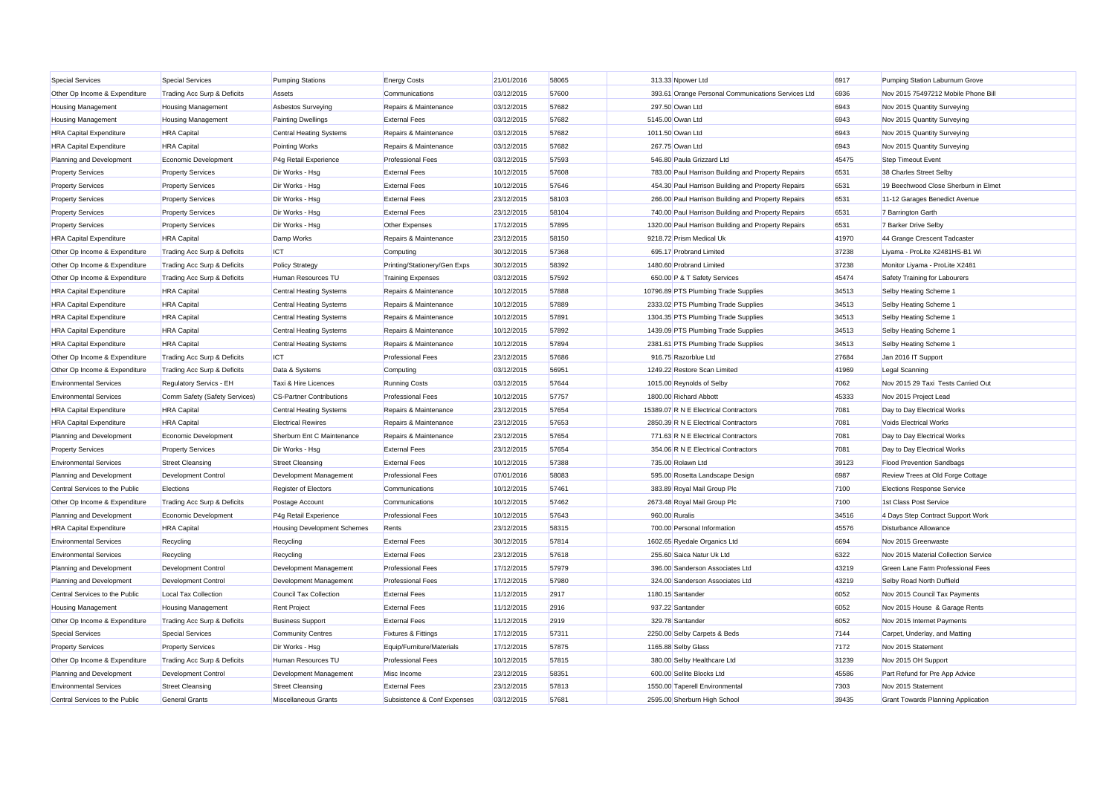| <b>Special Services</b>        | <b>Special Services</b>       | <b>Pumping Stations</b>            | <b>Energy Costs</b>            | 21/01/2016 | 58065 | 313.33 Npower Ltd                                   | 6917  | Pumping Station Laburnum Grove            |
|--------------------------------|-------------------------------|------------------------------------|--------------------------------|------------|-------|-----------------------------------------------------|-------|-------------------------------------------|
| Other Op Income & Expenditure  | Trading Acc Surp & Deficits   | Assets                             | Communications                 | 03/12/2015 | 57600 | 393.61 Orange Personal Communications Services Ltd  | 6936  | Nov 2015 75497212 Mobile Phone Bill       |
| <b>Housing Management</b>      | <b>Housing Management</b>     | <b>Asbestos Surveying</b>          | Repairs & Maintenance          | 03/12/2015 | 57682 | 297.50 Owan Ltd                                     | 6943  | Nov 2015 Quantity Surveying               |
| <b>Housing Management</b>      | <b>Housing Management</b>     | <b>Painting Dwellings</b>          | <b>External Fees</b>           | 03/12/2015 | 57682 | 5145.00 Owan Ltd                                    | 6943  | Nov 2015 Quantity Surveying               |
| <b>HRA Capital Expenditure</b> | <b>HRA</b> Capital            | <b>Central Heating Systems</b>     | Repairs & Maintenance          | 03/12/2015 | 57682 | 1011.50 Owan Ltd                                    | 6943  | Nov 2015 Quantity Surveying               |
| <b>HRA Capital Expenditure</b> | <b>HRA</b> Capital            | <b>Pointing Works</b>              | Repairs & Maintenance          | 03/12/2015 | 57682 | 267.75 Owan Ltd                                     | 6943  | Nov 2015 Quantity Surveying               |
| Planning and Development       | Economic Development          | P4g Retail Experience              | <b>Professional Fees</b>       | 03/12/2015 | 57593 | 546.80 Paula Grizzard Ltd                           | 45475 | <b>Step Timeout Event</b>                 |
| <b>Property Services</b>       | <b>Property Services</b>      | Dir Works - Hsg                    | <b>External Fees</b>           | 10/12/2015 | 57608 | 783.00 Paul Harrison Building and Property Repairs  | 6531  | 38 Charles Street Selby                   |
| <b>Property Services</b>       | <b>Property Services</b>      | Dir Works - Hsg                    | <b>External Fees</b>           | 10/12/2015 | 57646 | 454.30 Paul Harrison Building and Property Repairs  | 6531  | 19 Beechwood Close Sherburn in Elmet      |
| <b>Property Services</b>       | <b>Property Services</b>      | Dir Works - Hsg                    | <b>External Fees</b>           | 23/12/2015 | 58103 | 266.00 Paul Harrison Building and Property Repairs  | 6531  | 11-12 Garages Benedict Avenue             |
| <b>Property Services</b>       | <b>Property Services</b>      | Dir Works - Hsg                    | <b>External Fees</b>           | 23/12/2015 | 58104 | 740.00 Paul Harrison Building and Property Repairs  | 6531  | 7 Barrington Garth                        |
| <b>Property Services</b>       | <b>Property Services</b>      | Dir Works - Hsg                    | Other Expenses                 | 17/12/2015 | 57895 | 1320.00 Paul Harrison Building and Property Repairs | 6531  | 7 Barker Drive Selby                      |
| <b>HRA Capital Expenditure</b> | <b>HRA</b> Capital            | Damp Works                         | Repairs & Maintenance          | 23/12/2015 | 58150 | 9218.72 Prism Medical Uk                            | 41970 | 44 Grange Crescent Tadcaster              |
| Other Op Income & Expenditure  | Trading Acc Surp & Deficits   | ICT                                | Computing                      | 30/12/2015 | 57368 | 695.17 Probrand Limited                             | 37238 | Liyama - ProLite X2481HS-B1 Wi            |
| Other Op Income & Expenditure  | Trading Acc Surp & Deficits   | <b>Policy Strategy</b>             | Printing/Stationery/Gen Exps   | 30/12/2015 | 58392 | 1480.60 Probrand Limited                            | 37238 | Monitor Liyama - ProLite X2481            |
| Other Op Income & Expenditure  | Trading Acc Surp & Deficits   | Human Resources TU                 | <b>Training Expenses</b>       | 03/12/2015 | 57592 | 650.00 P & T Safety Services                        | 45474 | Safety Training for Labourers             |
| <b>HRA Capital Expenditure</b> | <b>HRA</b> Capital            | <b>Central Heating Systems</b>     | Repairs & Maintenance          | 10/12/2015 | 57888 | 10796.89 PTS Plumbing Trade Supplies                | 34513 | Selby Heating Scheme 1                    |
| <b>HRA Capital Expenditure</b> | <b>HRA</b> Capital            | Central Heating Systems            | Repairs & Maintenance          | 10/12/2015 | 57889 | 2333.02 PTS Plumbing Trade Supplies                 | 34513 | Selby Heating Scheme 1                    |
| <b>HRA Capital Expenditure</b> | <b>HRA</b> Capital            | <b>Central Heating Systems</b>     | Repairs & Maintenance          | 10/12/2015 | 57891 | 1304.35 PTS Plumbing Trade Supplies                 | 34513 | Selby Heating Scheme 1                    |
| <b>HRA Capital Expenditure</b> | <b>HRA</b> Capital            | Central Heating Systems            | Repairs & Maintenance          | 10/12/2015 | 57892 | 1439.09 PTS Plumbing Trade Supplies                 | 34513 | Selby Heating Scheme 1                    |
| <b>HRA Capital Expenditure</b> | <b>HRA</b> Capital            | <b>Central Heating Systems</b>     | Repairs & Maintenance          | 10/12/2015 | 57894 | 2381.61 PTS Plumbing Trade Supplies                 | 34513 | Selby Heating Scheme 1                    |
| Other Op Income & Expenditure  | Trading Acc Surp & Deficits   | ICT                                | <b>Professional Fees</b>       | 23/12/2015 | 57686 | 916.75 Razorblue Ltd                                | 27684 | Jan 2016 IT Support                       |
| Other Op Income & Expenditure  | Trading Acc Surp & Deficits   | Data & Systems                     | Computing                      | 03/12/2015 | 56951 | 1249.22 Restore Scan Limited                        | 41969 | Legal Scanning                            |
| <b>Environmental Services</b>  | Regulatory Servics - EH       | Taxi & Hire Licences               | <b>Running Costs</b>           | 03/12/2015 | 57644 | 1015.00 Reynolds of Selby                           | 7062  | Nov 2015 29 Taxi Tests Carried Out        |
| <b>Environmental Services</b>  | Comm Safety (Safety Services) | <b>CS-Partner Contributions</b>    | <b>Professional Fees</b>       | 10/12/2015 | 57757 | 1800.00 Richard Abbott                              | 45333 | Nov 2015 Project Lead                     |
| <b>HRA Capital Expenditure</b> | <b>HRA</b> Capital            | <b>Central Heating Systems</b>     | Repairs & Maintenance          | 23/12/2015 | 57654 | 15389.07 R N E Electrical Contractors               | 7081  | Day to Day Electrical Works               |
| <b>HRA Capital Expenditure</b> | <b>HRA</b> Capital            | <b>Electrical Rewires</b>          | Repairs & Maintenance          | 23/12/2015 | 57653 | 2850.39 R N E Electrical Contractors                | 7081  | <b>Voids Electrical Works</b>             |
| Planning and Development       | Economic Development          | Sherburn Ent C Maintenance         | Repairs & Maintenance          | 23/12/2015 | 57654 | 771.63 R N E Electrical Contractors                 | 7081  | Day to Day Electrical Works               |
| <b>Property Services</b>       | <b>Property Services</b>      | Dir Works - Hsg                    | <b>External Fees</b>           | 23/12/2015 | 57654 | 354.06 R N E Electrical Contractors                 | 7081  | Day to Day Electrical Works               |
| <b>Environmental Services</b>  | <b>Street Cleansing</b>       | <b>Street Cleansing</b>            | <b>External Fees</b>           | 10/12/2015 | 57388 | 735.00 Rolawn Ltd                                   | 39123 | <b>Flood Prevention Sandbags</b>          |
| Planning and Development       | Development Control           | Development Management             | <b>Professional Fees</b>       | 07/01/2016 | 58083 | 595.00 Rosetta Landscape Design                     | 6987  | Review Trees at Old Forge Cottage         |
| Central Services to the Public | Elections                     | Register of Electors               | Communications                 | 10/12/2015 | 57461 | 383.89 Royal Mail Group Plc                         | 7100  | <b>Elections Response Service</b>         |
| Other Op Income & Expenditure  | Trading Acc Surp & Deficits   | Postage Account                    | Communications                 | 10/12/2015 | 57462 | 2673.48 Royal Mail Group Plc                        | 7100  | 1st Class Post Service                    |
| Planning and Development       | Economic Development          | P4g Retail Experience              | <b>Professional Fees</b>       | 10/12/2015 | 57643 | 960.00 Ruralis                                      | 34516 | 4 Days Step Contract Support Work         |
| <b>HRA Capital Expenditure</b> | <b>HRA</b> Capital            | <b>Housing Development Schemes</b> | Rents                          | 23/12/2015 | 58315 | 700.00 Personal Information                         | 45576 | <b>Disturbance Allowance</b>              |
| <b>Environmental Services</b>  | Recycling                     | Recycling                          | <b>External Fees</b>           | 30/12/2015 | 57814 | 1602.65 Ryedale Organics Ltd                        | 6694  | Nov 2015 Greenwaste                       |
| <b>Environmental Services</b>  | Recycling                     | Recycling                          | <b>External Fees</b>           | 23/12/2015 | 57618 | 255.60 Saica Natur Uk Ltd                           | 6322  | Nov 2015 Material Collection Service      |
| Planning and Development       | <b>Development Control</b>    | Development Management             | <b>Professional Fees</b>       | 17/12/2015 | 57979 | 396.00 Sanderson Associates Ltd                     | 43219 | Green Lane Farm Professional Fees         |
| Planning and Development       | <b>Development Control</b>    | Development Management             | <b>Professional Fees</b>       | 17/12/2015 | 57980 | 324.00 Sanderson Associates Ltd                     | 43219 | Selby Road North Duffield                 |
| Central Services to the Public | <b>Local Tax Collection</b>   | Council Tax Collection             | <b>External Fees</b>           | 11/12/2015 | 2917  | 1180.15 Santander                                   | 6052  | Nov 2015 Council Tax Payments             |
| <b>Housing Management</b>      | <b>Housing Management</b>     | <b>Rent Project</b>                | <b>External Fees</b>           | 11/12/2015 | 2916  | 937.22 Santander                                    | 6052  | Nov 2015 House & Garage Rents             |
| Other Op Income & Expenditure  | Trading Acc Surp & Deficits   | <b>Business Support</b>            | <b>External Fees</b>           | 11/12/2015 | 2919  | 329.78 Santander                                    | 6052  | Nov 2015 Internet Payments                |
| <b>Special Services</b>        | <b>Special Services</b>       | <b>Community Centres</b>           | <b>Fixtures &amp; Fittings</b> | 17/12/2015 | 57311 | 2250.00 Selby Carpets & Beds                        | 7144  | Carpet, Underlay, and Matting             |
| <b>Property Services</b>       | <b>Property Services</b>      | Dir Works - Hsg                    | Equip/Furniture/Materials      | 17/12/2015 | 57875 | 1165.88 Selby Glass                                 | 7172  | Nov 2015 Statement                        |
| Other Op Income & Expenditure  | Trading Acc Surp & Deficits   | Human Resources TU                 | <b>Professional Fees</b>       | 10/12/2015 | 57815 | 380.00 Selby Healthcare Ltd                         | 31239 | Nov 2015 OH Support                       |
| Planning and Development       | Development Contro            | Development Management             | Misc Income                    | 23/12/2015 | 58351 | 600.00 Sellite Blocks Ltd                           | 45586 | Part Refund for Pre App Advice            |
| <b>Environmental Services</b>  | <b>Street Cleansing</b>       | <b>Street Cleansing</b>            | <b>External Fees</b>           | 23/12/2015 | 57813 | 1550.00 Taperell Environmental                      | 7303  | Nov 2015 Statement                        |
| Central Services to the Public | <b>General Grants</b>         | Miscellaneous Grants               | Subsistence & Conf Expenses    | 03/12/2015 | 57681 | 2595.00 Sherburn High School                        | 39435 | <b>Grant Towards Planning Application</b> |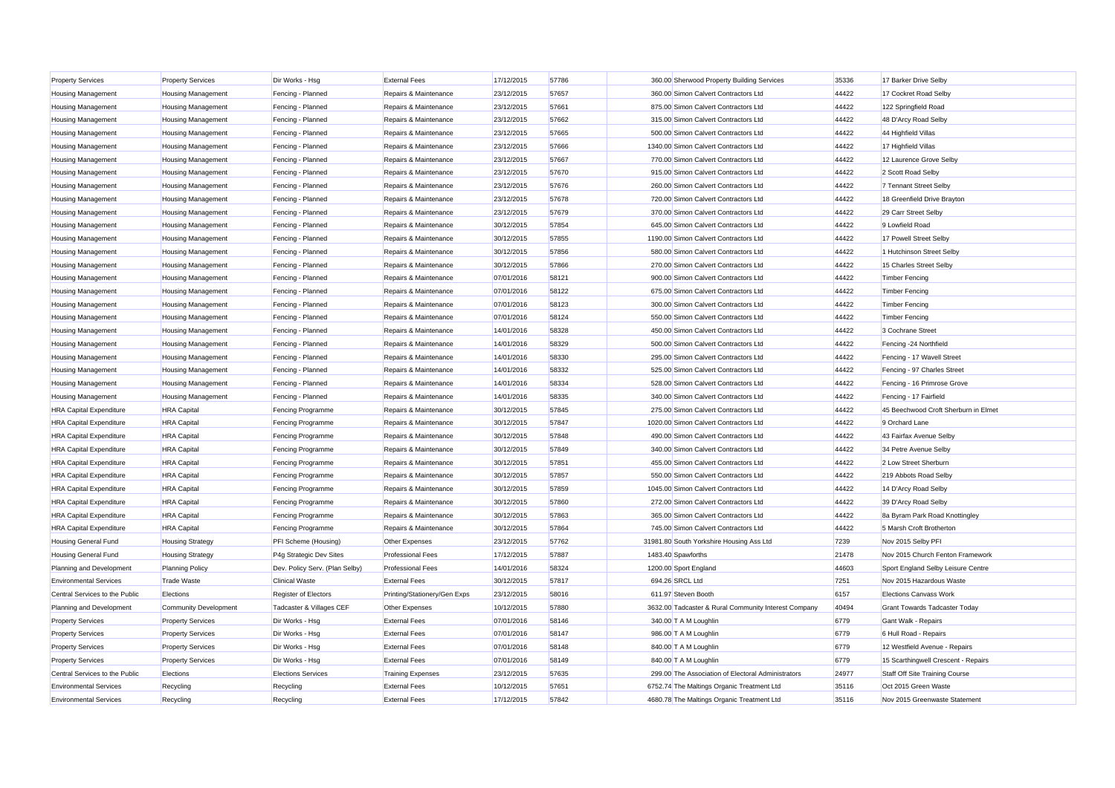| <b>Property Services</b>       | <b>Property Services</b>  | Dir Works - Hsg                | <b>External Fees</b>         | 17/12/2015 | 57786 | 360.00 Sherwood Property Building Services           | 35336 | 17 Barker Drive Selby                |
|--------------------------------|---------------------------|--------------------------------|------------------------------|------------|-------|------------------------------------------------------|-------|--------------------------------------|
| <b>Housing Management</b>      | <b>Housing Management</b> | Fencing - Planned              | Repairs & Maintenance        | 23/12/2015 | 57657 | 360.00 Simon Calvert Contractors Ltd                 | 44422 | 17 Cockret Road Selby                |
| <b>Housing Management</b>      | <b>Housing Management</b> | Fencing - Planned              | Repairs & Maintenance        | 23/12/2015 | 57661 | 875.00 Simon Calvert Contractors Ltd                 | 44422 | 122 Springfield Road                 |
| <b>Housing Management</b>      | <b>Housing Management</b> | Fencing - Planned              | Repairs & Maintenance        | 23/12/2015 | 57662 | 315.00 Simon Calvert Contractors Ltd                 | 44422 | 48 D'Arcy Road Selby                 |
| <b>Housing Management</b>      | <b>Housing Management</b> | Fencing - Planned              | Repairs & Maintenance        | 23/12/2015 | 57665 | 500.00 Simon Calvert Contractors Ltd                 | 44422 | 44 Highfield Villas                  |
| <b>Housing Management</b>      | <b>Housing Management</b> | Fencing - Planned              | Repairs & Maintenance        | 23/12/2015 | 57666 | 1340.00 Simon Calvert Contractors Ltd                | 44422 | 17 Highfield Villas                  |
| <b>Housing Management</b>      | <b>Housing Management</b> | Fencing - Planned              | Repairs & Maintenance        | 23/12/2015 | 57667 | 770.00 Simon Calvert Contractors Ltd                 | 44422 | 12 Laurence Grove Selby              |
| <b>Housing Management</b>      | <b>Housing Management</b> | Fencing - Planned              | Repairs & Maintenance        | 23/12/2015 | 57670 | 915.00 Simon Calvert Contractors Ltd                 | 44422 | 2 Scott Road Selby                   |
| <b>Housing Management</b>      | <b>Housing Management</b> | Fencing - Planned              | Repairs & Maintenance        | 23/12/2015 | 57676 | 260.00 Simon Calvert Contractors Ltd                 | 44422 | 7 Tennant Street Selby               |
| <b>Housing Management</b>      | <b>Housing Management</b> | Fencing - Planned              | Repairs & Maintenance        | 23/12/2015 | 57678 | 720.00 Simon Calvert Contractors Ltd                 | 44422 | 18 Greenfield Drive Brayton          |
| <b>Housing Management</b>      | <b>Housing Management</b> | Fencing - Planned              | Repairs & Maintenance        | 23/12/2015 | 57679 | 370.00 Simon Calvert Contractors Ltd                 | 44422 | 29 Carr Street Selby                 |
| <b>Housing Management</b>      | <b>Housing Management</b> | Fencing - Planned              | Repairs & Maintenance        | 30/12/2015 | 57854 | 645.00 Simon Calvert Contractors Ltd                 | 44422 | 9 Lowfield Road                      |
| <b>Housing Management</b>      | <b>Housing Management</b> | Fencing - Planned              | Repairs & Maintenance        | 30/12/2015 | 57855 | 1190.00 Simon Calvert Contractors Ltd                | 44422 | 17 Powell Street Selby               |
| <b>Housing Management</b>      | <b>Housing Management</b> | Fencing - Planned              | Repairs & Maintenance        | 30/12/2015 | 57856 | 580.00 Simon Calvert Contractors Ltd                 | 44422 | 1 Hutchinson Street Selby            |
| <b>Housing Management</b>      | <b>Housing Management</b> | Fencing - Planned              | Repairs & Maintenance        | 30/12/2015 | 57866 | 270.00 Simon Calvert Contractors Ltd                 | 44422 | 15 Charles Street Selby              |
| <b>Housing Management</b>      | <b>Housing Management</b> | Fencing - Planned              | Repairs & Maintenance        | 07/01/2016 | 58121 | 900.00 Simon Calvert Contractors Ltd                 | 44422 | <b>Timber Fencing</b>                |
| <b>Housing Management</b>      | <b>Housing Management</b> | Fencing - Planned              | Repairs & Maintenance        | 07/01/2016 | 58122 | 675.00 Simon Calvert Contractors Ltd                 | 44422 | <b>Timber Fencing</b>                |
| <b>Housing Management</b>      | <b>Housing Management</b> | Fencing - Planned              | Repairs & Maintenance        | 07/01/2016 | 58123 | 300.00 Simon Calvert Contractors Ltd                 | 44422 | <b>Timber Fencing</b>                |
| <b>Housing Management</b>      | <b>Housing Management</b> | Fencing - Planned              | Repairs & Maintenance        | 07/01/2016 | 58124 | 550.00 Simon Calvert Contractors Ltd                 | 44422 | <b>Timber Fencing</b>                |
| <b>Housing Management</b>      | <b>Housing Management</b> | Fencing - Planned              | Repairs & Maintenance        | 14/01/2016 | 58328 | 450.00 Simon Calvert Contractors Ltd                 | 44422 | 3 Cochrane Street                    |
| <b>Housing Management</b>      | <b>Housing Management</b> | Fencing - Planned              | Repairs & Maintenance        | 14/01/2016 | 58329 | 500.00 Simon Calvert Contractors Ltd                 | 44422 | Fencing -24 Northfield               |
| <b>Housing Management</b>      | <b>Housing Management</b> | Fencing - Planned              | Repairs & Maintenance        | 14/01/2016 | 58330 | 295.00 Simon Calvert Contractors Ltd                 | 44422 | Fencing - 17 Wavell Street           |
|                                |                           |                                |                              |            |       |                                                      |       |                                      |
| <b>Housing Management</b>      | <b>Housing Management</b> | Fencing - Planned              | Repairs & Maintenance        | 14/01/2016 | 58332 | 525.00 Simon Calvert Contractors Ltd                 | 44422 | Fencing - 97 Charles Street          |
| <b>Housing Management</b>      | <b>Housing Management</b> | Fencing - Planned              | Repairs & Maintenance        | 14/01/2016 | 58334 | 528.00 Simon Calvert Contractors Ltd                 | 44422 | Fencing - 16 Primrose Grove          |
| <b>Housing Management</b>      | <b>Housing Management</b> | Fencing - Planned              | Repairs & Maintenance        | 14/01/2016 | 58335 | 340.00 Simon Calvert Contractors Ltd                 | 44422 | Fencing - 17 Fairfield               |
| <b>HRA Capital Expenditure</b> | <b>HRA</b> Capital        | <b>Fencing Programme</b>       | Repairs & Maintenance        | 30/12/2015 | 57845 | 275.00 Simon Calvert Contractors Ltd                 | 44422 | 45 Beechwood Croft Sherburn in Elmet |
| <b>HRA Capital Expenditure</b> | <b>HRA</b> Capital        | <b>Fencing Programme</b>       | Repairs & Maintenance        | 30/12/2015 | 57847 | 1020.00 Simon Calvert Contractors Ltd                | 44422 | 9 Orchard Lane                       |
| <b>HRA Capital Expenditure</b> | <b>HRA</b> Capital        | <b>Fencing Programme</b>       | Repairs & Maintenance        | 30/12/2015 | 57848 | 490.00 Simon Calvert Contractors Ltd                 | 44422 | 43 Fairfax Avenue Selby              |
| <b>HRA Capital Expenditure</b> | <b>HRA</b> Capital        | <b>Fencing Programme</b>       | Repairs & Maintenance        | 30/12/2015 | 57849 | 340.00 Simon Calvert Contractors Ltd                 | 44422 | 34 Petre Avenue Selby                |
| <b>HRA Capital Expenditure</b> | <b>HRA</b> Capital        | <b>Fencing Programme</b>       | Repairs & Maintenance        | 30/12/2015 | 57851 | 455.00 Simon Calvert Contractors Ltd                 | 44422 | 2 Low Street Sherburn                |
| <b>HRA Capital Expenditure</b> | <b>HRA</b> Capital        | Fencing Programme              | Repairs & Maintenance        | 30/12/2015 | 57857 | 550.00 Simon Calvert Contractors Ltd                 | 44422 | 219 Abbots Road Selby                |
| <b>HRA Capital Expenditure</b> | <b>HRA</b> Capital        | <b>Fencing Programme</b>       | Repairs & Maintenance        | 30/12/2015 | 57859 | 1045.00 Simon Calvert Contractors Ltd                | 44422 | 14 D'Arcy Road Selby                 |
| <b>HRA Capital Expenditure</b> | <b>HRA</b> Capital        | <b>Fencing Programme</b>       | Repairs & Maintenance        | 30/12/2015 | 57860 | 272.00 Simon Calvert Contractors Ltd                 | 44422 | 39 D'Arcy Road Selby                 |
| <b>HRA Capital Expenditure</b> | <b>HRA</b> Capital        | <b>Fencing Programme</b>       | Repairs & Maintenance        | 30/12/2015 | 57863 | 365.00 Simon Calvert Contractors Ltd                 | 44422 | 8a Byram Park Road Knottingley       |
| <b>HRA Capital Expenditure</b> | <b>HRA</b> Capital        | <b>Fencing Programme</b>       | Repairs & Maintenance        | 30/12/2015 | 57864 | 745.00 Simon Calvert Contractors Ltd                 | 44422 | 5 Marsh Croft Brotherton             |
| <b>Housing General Fund</b>    | <b>Housing Strategy</b>   | PFI Scheme (Housing)           | Other Expenses               | 23/12/2015 | 57762 | 31981.80 South Yorkshire Housing Ass Ltd             | 7239  | Nov 2015 Selby PFI                   |
| <b>Housing General Fund</b>    | <b>Housing Strategy</b>   | P4g Strategic Dev Sites        | <b>Professional Fees</b>     | 17/12/2015 | 57887 | 1483.40 Spawforths                                   | 21478 | Nov 2015 Church Fenton Framework     |
| Planning and Development       | <b>Planning Policy</b>    | Dev. Policy Serv. (Plan Selby) | <b>Professional Fees</b>     | 14/01/2016 | 58324 | 1200.00 Sport England                                | 44603 | Sport England Selby Leisure Centre   |
| <b>Environmental Services</b>  | <b>Trade Waste</b>        | <b>Clinical Waste</b>          | <b>External Fees</b>         | 30/12/2015 | 57817 | 694.26 SRCL Ltd                                      | 7251  | Nov 2015 Hazardous Waste             |
| Central Services to the Public | Elections                 | <b>Register of Electors</b>    | Printing/Stationery/Gen Exps | 23/12/2015 | 58016 | 611.97 Steven Booth                                  | 6157  | Elections Canvass Work               |
| Planning and Development       | Community Development     | Tadcaster & Villages CEF       | Other Expenses               | 10/12/2015 | 57880 | 3632.00 Tadcaster & Rural Community Interest Company | 40494 | Grant Towards Tadcaster Today        |
| <b>Property Services</b>       | <b>Property Services</b>  | Dir Works - Hsg                | <b>External Fees</b>         | 07/01/2016 | 58146 | 340.00 T A M Loughlin                                | 6779  | Gant Walk - Repairs                  |
| <b>Property Services</b>       | <b>Property Services</b>  | Dir Works - Hsg                | <b>External Fees</b>         | 07/01/2016 | 58147 | 986.00 T A M Loughlin                                | 6779  | 6 Hull Road - Repairs                |
| <b>Property Services</b>       | <b>Property Services</b>  | Dir Works - Hsg                | <b>External Fees</b>         | 07/01/2016 | 58148 | 840.00 T A M Loughlin                                | 6779  | 12 Westfield Avenue - Repairs        |
| <b>Property Services</b>       | <b>Property Services</b>  | Dir Works - Hsg                | <b>External Fees</b>         | 07/01/2016 | 58149 | 840.00 T A M Loughlin                                | 6779  | 15 Scarthingwell Crescent - Repairs  |
| Central Services to the Public | Elections                 | <b>Elections Services</b>      | <b>Training Expenses</b>     | 23/12/2015 | 57635 | 299.00 The Association of Electoral Administrators   | 24977 | Staff Off Site Training Course       |
| <b>Environmental Services</b>  | Recycling                 | Recycling                      | <b>External Fees</b>         | 10/12/2015 | 57651 | 6752.74 The Maltings Organic Treatment Ltd           | 35116 | Oct 2015 Green Waste                 |
| <b>Environmental Services</b>  | Recycling                 | Recycling                      | <b>External Fees</b>         | 17/12/2015 | 57842 | 4680.78 The Maltings Organic Treatment Ltd           | 35116 | Nov 2015 Greenwaste Statement        |
|                                |                           |                                |                              |            |       |                                                      |       |                                      |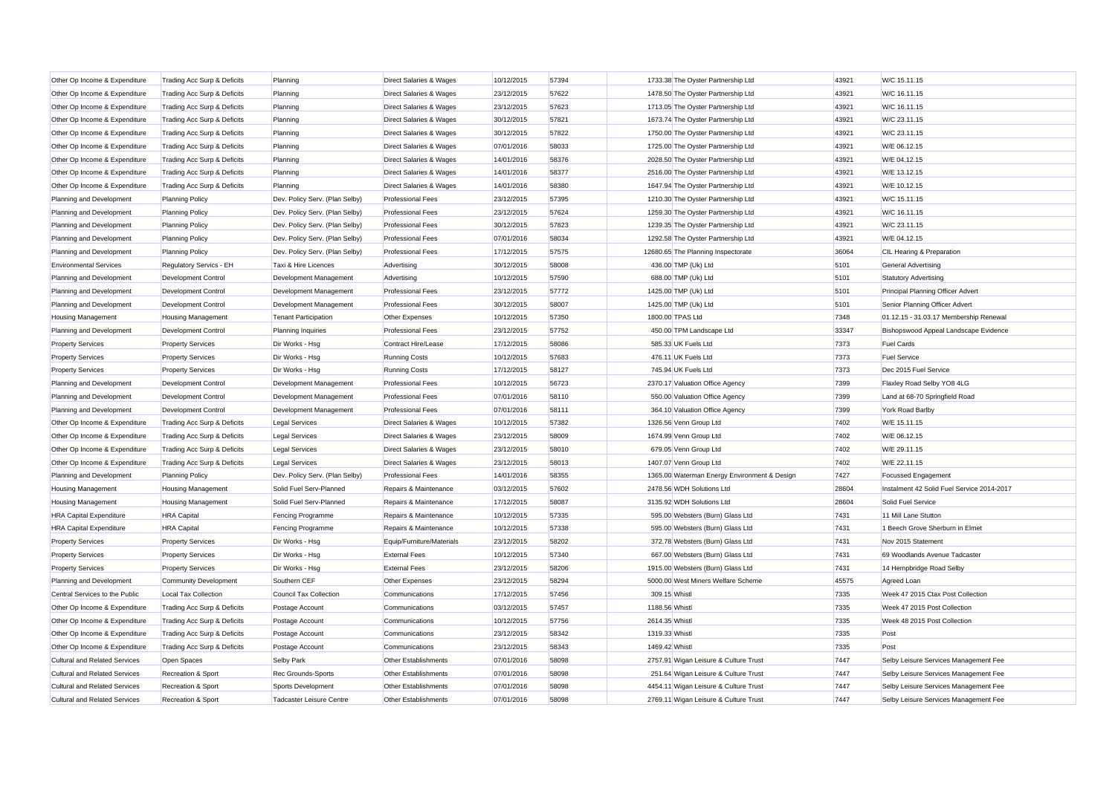| Other Op Income & Expenditure        | Trading Acc Surp & Deficits   | Planning                       | <b>Direct Salaries &amp; Wages</b> | 10/12/2015 | 57394 |                | 1733.38 The Oyster Partnership Ltd           | 43921 | W/C 15.11.15                               |
|--------------------------------------|-------------------------------|--------------------------------|------------------------------------|------------|-------|----------------|----------------------------------------------|-------|--------------------------------------------|
| Other Op Income & Expenditure        | Trading Acc Surp & Deficits   | Planning                       | <b>Direct Salaries &amp; Wages</b> | 23/12/2015 | 57622 |                | 1478.50 The Oyster Partnership Ltd           | 43921 | W/C 16.11.15                               |
| Other Op Income & Expenditure        | Trading Acc Surp & Deficits   | Planning                       | <b>Direct Salaries &amp; Wages</b> | 23/12/2015 | 57623 |                | 1713.05 The Oyster Partnership Ltd           | 43921 | W/C 16.11.15                               |
| Other Op Income & Expenditure        | Trading Acc Surp & Deficits   | Planning                       | <b>Direct Salaries &amp; Wages</b> | 30/12/2015 | 57821 |                | 1673.74 The Oyster Partnership Ltd           | 43921 | W/C 23.11.15                               |
| Other Op Income & Expenditure        | Trading Acc Surp & Deficits   | Planning                       | <b>Direct Salaries &amp; Wages</b> | 30/12/2015 | 57822 |                | 1750.00 The Oyster Partnership Ltd           | 43921 | W/C 23.11.15                               |
| Other Op Income & Expenditure        | Trading Acc Surp & Deficits   | Planning                       | <b>Direct Salaries &amp; Wages</b> | 07/01/2016 | 58033 |                | 1725.00 The Oyster Partnership Ltd           | 43921 | W/E 06.12.15                               |
| Other Op Income & Expenditure        | Trading Acc Surp & Deficits   | Planning                       | <b>Direct Salaries &amp; Wages</b> | 14/01/2016 | 58376 |                | 2028.50 The Oyster Partnership Ltd           | 43921 | W/E 04.12.15                               |
| Other Op Income & Expenditure        | Trading Acc Surp & Deficits   | Planning                       | <b>Direct Salaries &amp; Wages</b> | 14/01/2016 | 58377 |                | 2516.00 The Oyster Partnership Ltd           | 43921 | W/E 13.12.15                               |
| Other Op Income & Expenditure        | Trading Acc Surp & Deficits   | Planning                       | <b>Direct Salaries &amp; Wages</b> | 14/01/2016 | 58380 |                | 1647.94 The Oyster Partnership Ltd           | 43921 | W/E 10.12.15                               |
| Planning and Development             | <b>Planning Policy</b>        | Dev. Policy Serv. (Plan Selby) | <b>Professional Fees</b>           | 23/12/2015 | 57395 |                | 1210.30 The Oyster Partnership Ltd           | 43921 | W/C 15.11.15                               |
| Planning and Development             | <b>Planning Policy</b>        | Dev. Policy Serv. (Plan Selby) | <b>Professional Fees</b>           | 23/12/2015 | 57624 |                | 1259.30 The Oyster Partnership Ltd           | 43921 | W/C 16.11.15                               |
| Planning and Development             | <b>Planning Policy</b>        | Dev. Policy Serv. (Plan Selby) | <b>Professional Fees</b>           | 30/12/2015 | 57823 |                | 1239.35 The Oyster Partnership Ltd           | 43921 | W/C 23.11.15                               |
| Planning and Development             | <b>Planning Policy</b>        | Dev. Policy Serv. (Plan Selby) | <b>Professional Fees</b>           | 07/01/2016 | 58034 |                | 1292.58 The Oyster Partnership Ltd           | 43921 | W/E 04.12.15                               |
| Planning and Development             | <b>Planning Policy</b>        | Dev. Policy Serv. (Plan Selby) | <b>Professional Fees</b>           | 17/12/2015 | 57575 |                | 12680.65 The Planning Inspectorate           | 36064 | CIL Hearing & Preparation                  |
| <b>Environmental Services</b>        | Regulatory Servics - EH       | Taxi & Hire Licences           | Advertising                        | 30/12/2015 | 58008 |                | 436.00 TMP (Uk) Ltd                          | 5101  | General Advertising                        |
| Planning and Development             | <b>Development Control</b>    | Development Management         | Advertising                        | 10/12/2015 | 57590 |                | 688.00 TMP (Uk) Ltd                          | 5101  | <b>Statutory Advertising</b>               |
| Planning and Development             | <b>Development Control</b>    | Development Management         | <b>Professional Fees</b>           | 23/12/2015 | 57772 |                | 1425.00 TMP (Uk) Ltd                         | 5101  | Principal Planning Officer Advert          |
| Planning and Development             | Development Control           | Development Management         | <b>Professional Fees</b>           | 30/12/2015 | 58007 |                | 1425.00 TMP (Uk) Ltd                         | 5101  | Senior Planning Officer Advert             |
| <b>Housing Management</b>            | <b>Housing Management</b>     | <b>Tenant Participation</b>    | Other Expenses                     | 10/12/2015 | 57350 |                | 1800.00 TPAS Ltd                             | 7348  | 01.12.15 - 31.03.17 Membership Renewal     |
| Planning and Development             | <b>Development Control</b>    | Planning Inquiries             | <b>Professional Fees</b>           | 23/12/2015 | 57752 |                | 450.00 TPM Landscape Ltd                     | 33347 | Bishopswood Appeal Landscape Evidence      |
| <b>Property Services</b>             | <b>Property Services</b>      | Dir Works - Hsg                | <b>Contract Hire/Lease</b>         | 17/12/2015 | 58086 |                | 585.33 UK Fuels Ltd                          | 7373  | <b>Fuel Cards</b>                          |
| <b>Property Services</b>             | <b>Property Services</b>      | Dir Works - Hsg                | <b>Running Costs</b>               | 10/12/2015 | 57683 |                | 476.11 UK Fuels Ltd                          | 7373  | <b>Fuel Service</b>                        |
| <b>Property Services</b>             | <b>Property Services</b>      | Dir Works - Hsg                | <b>Running Costs</b>               | 17/12/2015 | 58127 |                | 745.94 UK Fuels Ltd                          | 7373  | Dec 2015 Fuel Service                      |
| Planning and Development             | <b>Development Control</b>    | Development Management         | <b>Professional Fees</b>           | 10/12/2015 | 56723 |                | 2370.17 Valuation Office Agency              | 7399  | Flaxley Road Selby YO8 4LG                 |
| Planning and Development             | <b>Development Control</b>    | Development Management         | <b>Professional Fees</b>           | 07/01/2016 | 58110 |                | 550.00 Valuation Office Agency               | 7399  | Land at 68-70 Springfield Road             |
| Planning and Development             | <b>Development Control</b>    | Development Management         | <b>Professional Fees</b>           | 07/01/2016 | 58111 |                | 364.10 Valuation Office Agency               | 7399  | York Road Barlby                           |
| Other Op Income & Expenditure        | Trading Acc Surp & Deficits   | <b>Legal Services</b>          | Direct Salaries & Wages            | 10/12/2015 | 57382 |                | 1326.56 Venn Group Ltd                       | 7402  | W/E 15.11.15                               |
| Other Op Income & Expenditure        | Trading Acc Surp & Deficits   | <b>Legal Services</b>          | <b>Direct Salaries &amp; Wages</b> | 23/12/2015 | 58009 |                | 1674.99 Venn Group Ltd                       | 7402  | W/E 06.12.15                               |
| Other Op Income & Expenditure        | Trading Acc Surp & Deficits   | <b>Legal Services</b>          | <b>Direct Salaries &amp; Wages</b> | 23/12/2015 | 58010 |                | 679.05 Venn Group Ltd                        | 7402  | W/E 29.11.15                               |
| Other Op Income & Expenditure        | Trading Acc Surp & Deficits   | <b>Legal Services</b>          | <b>Direct Salaries &amp; Wages</b> | 23/12/2015 | 58013 |                | 1407.07 Venn Group Ltd                       | 7402  | W/E 22.11.15                               |
| Planning and Development             | <b>Planning Policy</b>        | Dev. Policy Serv. (Plan Selby) | <b>Professional Fees</b>           | 14/01/2016 | 58355 |                | 1365.00 Waterman Energy Environment & Design | 7427  | <b>Focussed Engagement</b>                 |
| <b>Housing Management</b>            | <b>Housing Management</b>     | Solid Fuel Serv-Planned        | Repairs & Maintenance              | 03/12/2015 | 57602 |                | 2478.56 WDH Solutions Ltd                    | 28604 | Instalment 42 Solid Fuel Service 2014-2017 |
| <b>Housing Management</b>            | <b>Housing Management</b>     | Solid Fuel Serv-Planned        | Repairs & Maintenance              | 17/12/2015 | 58087 |                | 3135.92 WDH Solutions Ltd                    | 28604 | Solid Fuel Service                         |
| <b>HRA Capital Expenditure</b>       | <b>HRA</b> Capital            | <b>Fencing Programme</b>       | Repairs & Maintenance              | 10/12/2015 | 57335 |                | 595.00 Websters (Burn) Glass Ltd             | 7431  | 11 Mill Lane Stutton                       |
| <b>HRA Capital Expenditure</b>       | <b>HRA</b> Capital            | Fencing Programme              | Repairs & Maintenance              | 10/12/2015 | 57338 |                | 595.00 Websters (Burn) Glass Ltd             | 7431  | 1 Beech Grove Sherburn in Elmet            |
| <b>Property Services</b>             | <b>Property Services</b>      | Dir Works - Hsg                | Equip/Furniture/Materials          | 23/12/2015 | 58202 |                | 372.78 Websters (Burn) Glass Ltd             | 7431  | Nov 2015 Statement                         |
| <b>Property Services</b>             | <b>Property Services</b>      | Dir Works - Hsg                | <b>External Fees</b>               | 10/12/2015 | 57340 |                | 667.00 Websters (Burn) Glass Ltd             | 7431  | 69 Woodlands Avenue Tadcaster              |
| <b>Property Services</b>             | <b>Property Services</b>      | Dir Works - Hsg                | <b>External Fees</b>               | 23/12/2015 | 58206 |                | 1915.00 Websters (Burn) Glass Ltd            | 7431  | 14 Hempbridge Road Selby                   |
| Planning and Development             | <b>Community Development</b>  | Southern CEF                   | Other Expenses                     | 23/12/2015 | 58294 |                | 5000.00 West Miners Welfare Scheme           | 45575 | Agreed Loan                                |
| Central Services to the Public       | <b>Local Tax Collection</b>   | Council Tax Collection         | Communications                     | 17/12/2015 | 57456 | 309.15 Whistl  |                                              | 7335  | Week 47 2015 Ctax Post Collection          |
| Other Op Income & Expenditure        | Trading Acc Surp & Deficits   | Postage Account                | Communications                     | 03/12/2015 | 57457 | 1188.56 Whistl |                                              | 7335  | Week 47 2015 Post Collection               |
| Other Op Income & Expenditure        | Trading Acc Surp & Deficits   | Postage Account                | Communications                     | 10/12/2015 | 57756 | 2614.35 Whistl |                                              | 7335  | Week 48 2015 Post Collection               |
| Other Op Income & Expenditure        | Trading Acc Surp & Deficits   | Postage Account                | Communications                     | 23/12/2015 | 58342 | 1319.33 Whistl |                                              | 7335  | Post                                       |
| Other Op Income & Expenditure        | Trading Acc Surp & Deficits   | Postage Account                | Communications                     | 23/12/2015 | 58343 | 1469.42 Whistl |                                              | 7335  | Post                                       |
| <b>Cultural and Related Services</b> | Open Spaces                   | Selby Park                     | Other Establishments               | 07/01/2016 | 58098 |                | 2757.91 Wigan Leisure & Culture Trust        | 7447  | Selby Leisure Services Management Fee      |
| <b>Cultural and Related Services</b> | Recreation & Sport            | <b>Rec Grounds-Sports</b>      | Other Establishments               | 07/01/2016 | 58098 |                | 251.64 Wigan Leisure & Culture Trust         | 7447  | Selby Leisure Services Management Fee      |
| <b>Cultural and Related Services</b> | <b>Recreation &amp; Sport</b> | Sports Development             | <b>Other Establishments</b>        | 07/01/2016 | 58098 |                | 4454.11 Wigan Leisure & Culture Trust        | 7447  | Selby Leisure Services Management Fee      |
| <b>Cultural and Related Services</b> | Recreation & Sport            | Tadcaster Leisure Centre       | <b>Other Establishments</b>        | 07/01/2016 | 58098 |                | 2769.11 Wigan Leisure & Culture Trust        | 7447  | Selby Leisure Services Management Fee      |
|                                      |                               |                                |                                    |            |       |                |                                              |       |                                            |